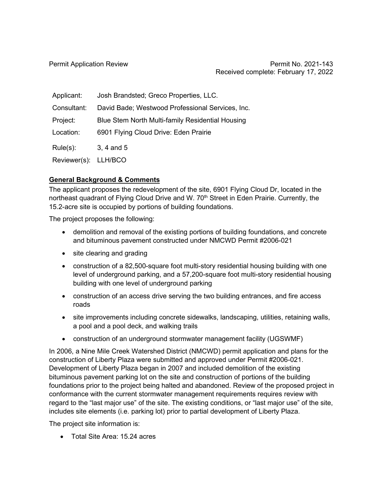| Applicant:           | Josh Brandsted; Greco Properties, LLC.           |
|----------------------|--------------------------------------------------|
| Consultant:          | David Bade; Westwood Professional Services, Inc. |
| Project:             | Blue Stem North Multi-family Residential Housing |
| Location:            | 6901 Flying Cloud Drive: Eden Prairie            |
| $Rule(s)$ :          | 3, 4 and 5                                       |
| Reviewer(s): LLH/BCO |                                                  |

## **General Background & Comments**

The applicant proposes the redevelopment of the site, 6901 Flying Cloud Dr, located in the northeast quadrant of Flying Cloud Drive and W. 70<sup>th</sup> Street in Eden Prairie. Currently, the 15.2-acre site is occupied by portions of building foundations.

The project proposes the following:

- demolition and removal of the existing portions of building foundations, and concrete and bituminous pavement constructed under NMCWD Permit #2006-021
- site clearing and grading
- construction of a 82,500-square foot multi-story residential housing building with one level of underground parking, and a 57,200-square foot multi-story residential housing building with one level of underground parking
- construction of an access drive serving the two building entrances, and fire access roads
- site improvements including concrete sidewalks, landscaping, utilities, retaining walls, a pool and a pool deck, and walking trails
- construction of an underground stormwater management facility (UGSWMF)

In 2006, a Nine Mile Creek Watershed District (NMCWD) permit application and plans for the construction of Liberty Plaza were submitted and approved under Permit #2006-021. Development of Liberty Plaza began in 2007 and included demolition of the existing bituminous pavement parking lot on the site and construction of portions of the building foundations prior to the project being halted and abandoned. Review of the proposed project in conformance with the current stormwater management requirements requires review with regard to the "last major use" of the site. The existing conditions, or "last major use" of the site, includes site elements (i.e. parking lot) prior to partial development of Liberty Plaza.

The project site information is:

• Total Site Area: 15.24 acres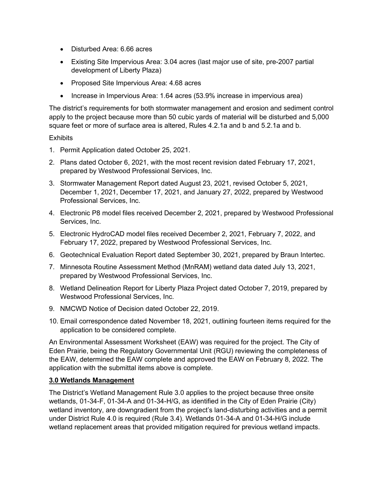- Disturbed Area: 6.66 acres
- Existing Site Impervious Area: 3.04 acres (last major use of site, pre-2007 partial development of Liberty Plaza)
- Proposed Site Impervious Area: 4.68 acres
- Increase in Impervious Area: 1.64 acres (53.9% increase in impervious area)

The district's requirements for both stormwater management and erosion and sediment control apply to the project because more than 50 cubic yards of material will be disturbed and 5,000 square feet or more of surface area is altered, Rules 4.2.1a and b and 5.2.1a and b.

### **Exhibits**

- 1. Permit Application dated October 25, 2021.
- 2. Plans dated October 6, 2021, with the most recent revision dated February 17, 2021, prepared by Westwood Professional Services, Inc.
- 3. Stormwater Management Report dated August 23, 2021, revised October 5, 2021, December 1, 2021, December 17, 2021, and January 27, 2022, prepared by Westwood Professional Services, Inc.
- 4. Electronic P8 model files received December 2, 2021, prepared by Westwood Professional Services, Inc.
- 5. Electronic HydroCAD model files received December 2, 2021, February 7, 2022, and February 17, 2022, prepared by Westwood Professional Services, Inc.
- 6. Geotechnical Evaluation Report dated September 30, 2021, prepared by Braun Intertec.
- 7. Minnesota Routine Assessment Method (MnRAM) wetland data dated July 13, 2021, prepared by Westwood Professional Services, Inc.
- 8. Wetland Delineation Report for Liberty Plaza Project dated October 7, 2019, prepared by Westwood Professional Services, Inc.
- 9. NMCWD Notice of Decision dated October 22, 2019.
- 10. Email correspondence dated November 18, 2021, outlining fourteen items required for the application to be considered complete.

An Environmental Assessment Worksheet (EAW) was required for the project. The City of Eden Prairie, being the Regulatory Governmental Unit (RGU) reviewing the completeness of the EAW, determined the EAW complete and approved the EAW on February 8, 2022. The application with the submittal items above is complete.

### **3.0 Wetlands Management**

The District's Wetland Management Rule 3.0 applies to the project because three onsite wetlands, 01-34-F, 01-34-A and 01-34-H/G, as identified in the City of Eden Prairie (City) wetland inventory, are downgradient from the project's land-disturbing activities and a permit under District Rule 4.0 is required (Rule 3.4). Wetlands 01-34-A and 01-34-H/G include wetland replacement areas that provided mitigation required for previous wetland impacts.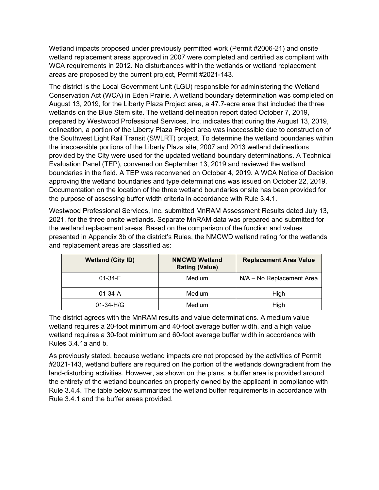Wetland impacts proposed under previously permitted work (Permit #2006-21) and onsite wetland replacement areas approved in 2007 were completed and certified as compliant with WCA requirements in 2012. No disturbances within the wetlands or wetland replacement areas are proposed by the current project, Permit #2021-143.

The district is the Local Government Unit (LGU) responsible for administering the Wetland Conservation Act (WCA) in Eden Prairie. A wetland boundary determination was completed on August 13, 2019, for the Liberty Plaza Project area, a 47.7-acre area that included the three wetlands on the Blue Stem site. The wetland delineation report dated October 7, 2019, prepared by Westwood Professional Services, Inc. indicates that during the August 13, 2019, delineation, a portion of the Liberty Plaza Project area was inaccessible due to construction of the Southwest Light Rail Transit (SWLRT) project. To determine the wetland boundaries within the inaccessible portions of the Liberty Plaza site, 2007 and 2013 wetland delineations provided by the City were used for the updated wetland boundary determinations. A Technical Evaluation Panel (TEP), convened on September 13, 2019 and reviewed the wetland boundaries in the field. A TEP was reconvened on October 4, 2019. A WCA Notice of Decision approving the wetland boundaries and type determinations was issued on October 22, 2019. Documentation on the location of the three wetland boundaries onsite has been provided for the purpose of assessing buffer width criteria in accordance with Rule 3.4.1.

Westwood Professional Services, Inc. submitted MnRAM Assessment Results dated July 13, 2021, for the three onsite wetlands. Separate MnRAM data was prepared and submitted for the wetland replacement areas. Based on the comparison of the function and values presented in Appendix 3b of the district's Rules, the NMCWD wetland rating for the wetlands and replacement areas are classified as:

| <b>Wetland (City ID)</b> | <b>NMCWD Wetland</b><br><b>Rating (Value)</b> | <b>Replacement Area Value</b> |
|--------------------------|-----------------------------------------------|-------------------------------|
| $01 - 34 - F$            | <b>Medium</b>                                 | N/A - No Replacement Area     |
| $01 - 34 - A$            | <b>Medium</b>                                 | High                          |
| $01 - 34 - H/G$          | <b>Medium</b>                                 | High                          |

The district agrees with the MnRAM results and value determinations. A medium value wetland requires a 20-foot minimum and 40-foot average buffer width, and a high value wetland requires a 30-foot minimum and 60-foot average buffer width in accordance with Rules 3.4.1a and b.

As previously stated, because wetland impacts are not proposed by the activities of Permit #2021-143, wetland buffers are required on the portion of the wetlands downgradient from the land-disturbing activities. However, as shown on the plans, a buffer area is provided around the entirety of the wetland boundaries on property owned by the applicant in compliance with Rule 3.4.4. The table below summarizes the wetland buffer requirements in accordance with Rule 3.4.1 and the buffer areas provided.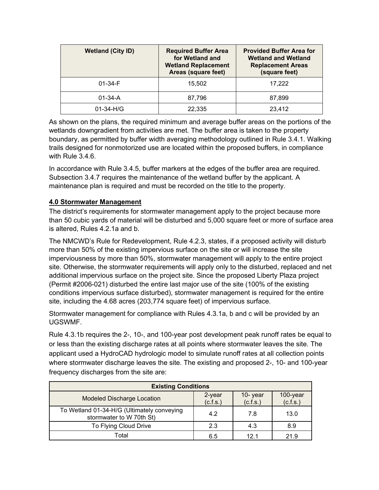| <b>Wetland (City ID)</b> | <b>Required Buffer Area</b><br>for Wetland and<br><b>Wetland Replacement</b><br>Areas (square feet) | <b>Provided Buffer Area for</b><br><b>Wetland and Wetland</b><br><b>Replacement Areas</b><br>(square feet) |
|--------------------------|-----------------------------------------------------------------------------------------------------|------------------------------------------------------------------------------------------------------------|
| $01 - 34 - F$            | 15.502                                                                                              | 17.222                                                                                                     |
| $01 - 34 - A$            | 87,796                                                                                              | 87,899                                                                                                     |
| $01-34-H/G$              | 22,335                                                                                              | 23,412                                                                                                     |

As shown on the plans, the required minimum and average buffer areas on the portions of the wetlands downgradient from activities are met. The buffer area is taken to the property boundary, as permitted by buffer width averaging methodology outlined in Rule 3.4.1. Walking trails designed for nonmotorized use are located within the proposed buffers, in compliance with Rule 3.4.6.

In accordance with Rule 3.4.5, buffer markers at the edges of the buffer area are required. Subsection 3.4.7 requires the maintenance of the wetland buffer by the applicant. A maintenance plan is required and must be recorded on the title to the property.

# **4.0 Stormwater Management**

The district's requirements for stormwater management apply to the project because more than 50 cubic yards of material will be disturbed and 5,000 square feet or more of surface area is altered, Rules 4.2.1a and b.

The NMCWD's Rule for Redevelopment, Rule 4.2.3, states, if a proposed activity will disturb more than 50% of the existing impervious surface on the site or will increase the site imperviousness by more than 50%, stormwater management will apply to the entire project site. Otherwise, the stormwater requirements will apply only to the disturbed, replaced and net additional impervious surface on the project site. Since the proposed Liberty Plaza project (Permit #2006-021) disturbed the entire last major use of the site (100% of the existing conditions impervious surface disturbed), stormwater management is required for the entire site, including the 4.68 acres (203,774 square feet) of impervious surface.

Stormwater management for compliance with Rules 4.3.1a, b and c will be provided by an UGSWMF.

Rule 4.3.1b requires the 2-, 10-, and 100-year post development peak runoff rates be equal to or less than the existing discharge rates at all points where stormwater leaves the site. The applicant used a HydroCAD hydrologic model to simulate runoff rates at all collection points where stormwater discharge leaves the site. The existing and proposed 2-, 10- and 100-year frequency discharges from the site are:

| <b>Existing Conditions</b>                                             |                    |                     |                      |
|------------------------------------------------------------------------|--------------------|---------------------|----------------------|
| <b>Modeled Discharge Location</b>                                      | 2-year<br>(c.f.s.) | 10-year<br>(c.f.s.) | 100-year<br>(c.f.s.) |
| To Wetland 01-34-H/G (Ultimately conveying<br>stormwater to W 70th St) | 4.2                | 7.8                 | 13.0                 |
| To Flying Cloud Drive                                                  | 2.3                | 4.3                 | 8.9                  |
| Total                                                                  | 6.5                | 12.1                | 21.9                 |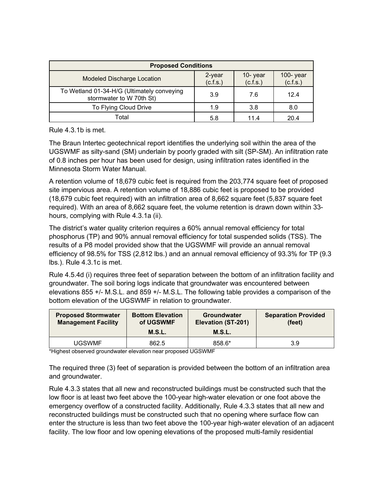| <b>Proposed Conditions</b>                                             |                    |                     |                          |
|------------------------------------------------------------------------|--------------------|---------------------|--------------------------|
| <b>Modeled Discharge Location</b>                                      | 2-year<br>(c.f.s.) | 10-year<br>(c.f.s.) | $100 - year$<br>(c.f.s.) |
| To Wetland 01-34-H/G (Ultimately conveying<br>stormwater to W 70th St) | 3.9                | 7.6                 | 12.4                     |
| To Flying Cloud Drive                                                  | 1.9                | 3.8                 | 8.0                      |
| Total                                                                  | 5.8                | 11.4                | 20.4                     |

Rule 4.3.1b is met.

The Braun Intertec geotechnical report identifies the underlying soil within the area of the UGSWMF as silty-sand (SM) underlain by poorly graded with silt (SP-SM). An infiltration rate of 0.8 inches per hour has been used for design, using infiltration rates identified in the Minnesota Storm Water Manual.

A retention volume of 18,679 cubic feet is required from the 203,774 square feet of proposed site impervious area. A retention volume of 18,886 cubic feet is proposed to be provided (18,679 cubic feet required) with an infiltration area of 8,662 square feet (5,837 square feet required). With an area of 8,662 square feet, the volume retention is drawn down within 33 hours, complying with Rule 4.3.1a (ii).

The district's water quality criterion requires a 60% annual removal efficiency for total phosphorus (TP) and 90% annual removal efficiency for total suspended solids (TSS). The results of a P8 model provided show that the UGSWMF will provide an annual removal efficiency of 98.5% for TSS (2,812 lbs.) and an annual removal efficiency of 93.3% for TP (9.3 lbs.). Rule 4.3.1c is met.

Rule 4.5.4d (i) requires three feet of separation between the bottom of an infiltration facility and groundwater. The soil boring logs indicate that groundwater was encountered between elevations 855 +/- M.S.L. and 859 +/- M.S.L. The following table provides a comparison of the bottom elevation of the UGSWMF in relation to groundwater.

| <b>Proposed Stormwater</b><br><b>Management Facility</b> | <b>Bottom Elevation</b><br>of UGSWMF<br>M.S.L. | <b>Groundwater</b><br>Elevation (ST-201)<br>M.S.L. | <b>Separation Provided</b><br>(feet) |
|----------------------------------------------------------|------------------------------------------------|----------------------------------------------------|--------------------------------------|
| UGSWMF                                                   | 862.5                                          | 858.6*                                             | 3.9                                  |

\*Highest observed groundwater elevation near proposed UGSWMF

The required three (3) feet of separation is provided between the bottom of an infiltration area and groundwater.

Rule 4.3.3 states that all new and reconstructed buildings must be constructed such that the low floor is at least two feet above the 100-year high-water elevation or one foot above the emergency overflow of a constructed facility. Additionally, Rule 4.3.3 states that all new and reconstructed buildings must be constructed such that no opening where surface flow can enter the structure is less than two feet above the 100-year high-water elevation of an adjacent facility. The low floor and low opening elevations of the proposed multi-family residential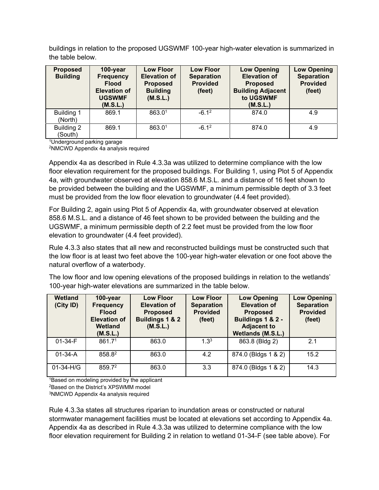buildings in relation to the proposed UGSWMF 100-year high-water elevation is summarized in the table below.

| <b>Proposed</b><br><b>Building</b> | 100-year<br><b>Frequency</b><br><b>Flood</b><br><b>Elevation of</b><br><b>UGSWMF</b><br>(M.S.L.) | <b>Low Floor</b><br><b>Elevation of</b><br><b>Proposed</b><br><b>Building</b><br>(M.S.L.) | <b>Low Floor</b><br><b>Separation</b><br><b>Provided</b><br>(feet) | <b>Low Opening</b><br><b>Elevation of</b><br><b>Proposed</b><br><b>Building Adjacent</b><br>to UGSWMF<br>(M.S.L.) | <b>Low Opening</b><br><b>Separation</b><br><b>Provided</b><br>(feet) |
|------------------------------------|--------------------------------------------------------------------------------------------------|-------------------------------------------------------------------------------------------|--------------------------------------------------------------------|-------------------------------------------------------------------------------------------------------------------|----------------------------------------------------------------------|
| <b>Building 1</b><br>(North)       | 869.1                                                                                            | 863.01                                                                                    | $-6.12$                                                            | 874.0                                                                                                             | 4.9                                                                  |
| Building 2<br>(South)              | 869.1                                                                                            | 863.01                                                                                    | $-6.12$                                                            | 874.0                                                                                                             | 4.9                                                                  |

1Underground parking garage

2NMCWD Appendix 4a analysis required

Appendix 4a as described in Rule 4.3.3a was utilized to determine compliance with the low floor elevation requirement for the proposed buildings. For Building 1, using Plot 5 of Appendix 4a, with groundwater observed at elevation 858.6 M.S.L. and a distance of 16 feet shown to be provided between the building and the UGSWMF, a minimum permissible depth of 3.3 feet must be provided from the low floor elevation to groundwater (4.4 feet provided).

For Building 2, again using Plot 5 of Appendix 4a, with groundwater observed at elevation 858.6 M.S.L. and a distance of 46 feet shown to be provided between the building and the UGSWMF, a minimum permissible depth of 2.2 feet must be provided from the low floor elevation to groundwater (4.4 feet provided).

Rule 4.3.3 also states that all new and reconstructed buildings must be constructed such that the low floor is at least two feet above the 100-year high-water elevation or one foot above the natural overflow of a waterbody.

The low floor and low opening elevations of the proposed buildings in relation to the wetlands' 100-year high-water elevations are summarized in the table below.

| Wetland<br>(City ID) | $100 - year$<br><b>Frequency</b><br><b>Flood</b><br><b>Elevation of</b><br>Wetland<br>(M.S.L.) | <b>Low Floor</b><br><b>Elevation of</b><br><b>Proposed</b><br><b>Buildings 1 &amp; 2</b><br>(M.S.L.) | <b>Low Floor</b><br><b>Separation</b><br><b>Provided</b><br>(feet) | <b>Low Opening</b><br><b>Elevation of</b><br><b>Proposed</b><br>Buildings 1 & 2 -<br><b>Adjacent to</b><br>Wetlands (M.S.L.) | <b>Low Opening</b><br><b>Separation</b><br><b>Provided</b><br>(feet) |
|----------------------|------------------------------------------------------------------------------------------------|------------------------------------------------------------------------------------------------------|--------------------------------------------------------------------|------------------------------------------------------------------------------------------------------------------------------|----------------------------------------------------------------------|
| $01 - 34 - F$        | 861.71                                                                                         | 863.0                                                                                                | 1.3 <sup>3</sup>                                                   | 863.8 (Bldg 2)                                                                                                               | 2.1                                                                  |
| $01 - 34 - A$        | 858.82                                                                                         | 863.0                                                                                                | 4.2                                                                | 874.0 (Bldgs 1 & 2)                                                                                                          | 15.2                                                                 |
| 01-34-H/G            | 859.72                                                                                         | 863.0                                                                                                | 3.3                                                                | 874.0 (Bldgs 1 & 2)                                                                                                          | 14.3                                                                 |

<sup>1</sup>Based on modeling provided by the applicant

2Based on the District's XPSWMM model

3NMCWD Appendix 4a analysis required

Rule 4.3.3a states all structures riparian to inundation areas or constructed or natural stormwater management facilities must be located at elevations set according to Appendix 4a. Appendix 4a as described in Rule 4.3.3a was utilized to determine compliance with the low floor elevation requirement for Building 2 in relation to wetland 01-34-F (see table above). For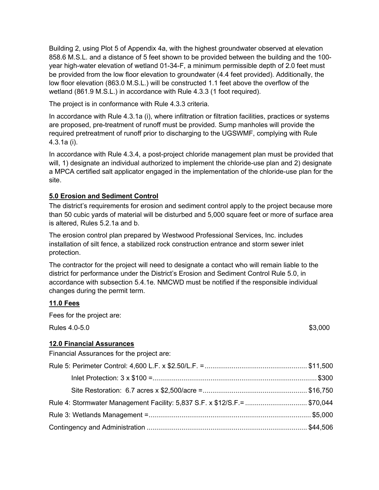Building 2, using Plot 5 of Appendix 4a, with the highest groundwater observed at elevation 858.6 M.S.L. and a distance of 5 feet shown to be provided between the building and the 100 year high-water elevation of wetland 01-34-F, a minimum permissible depth of 2.0 feet must be provided from the low floor elevation to groundwater (4.4 feet provided). Additionally, the low floor elevation (863.0 M.S.L.) will be constructed 1.1 feet above the overflow of the wetland (861.9 M.S.L.) in accordance with Rule 4.3.3 (1 foot required).

The project is in conformance with Rule 4.3.3 criteria.

In accordance with Rule 4.3.1a (i), where infiltration or filtration facilities, practices or systems are proposed, pre-treatment of runoff must be provided. Sump manholes will provide the required pretreatment of runoff prior to discharging to the UGSWMF, complying with Rule 4.3.1a (i).

In accordance with Rule 4.3.4, a post-project chloride management plan must be provided that will, 1) designate an individual authorized to implement the chloride-use plan and 2) designate a MPCA certified salt applicator engaged in the implementation of the chloride-use plan for the site.

## **5.0 Erosion and Sediment Control**

The district's requirements for erosion and sediment control apply to the project because more than 50 cubic yards of material will be disturbed and 5,000 square feet or more of surface area is altered, Rules 5.2.1a and b.

The erosion control plan prepared by Westwood Professional Services, Inc. includes installation of silt fence, a stabilized rock construction entrance and storm sewer inlet protection.

The contractor for the project will need to designate a contact who will remain liable to the district for performance under the District's Erosion and Sediment Control Rule 5.0, in accordance with subsection 5.4.1e. NMCWD must be notified if the responsible individual changes during the permit term.

### **11.0 Fees**

Fees for the project are:

 $\mu_{\rm{B}} = 4.0 - 5.0$   $\mu_{\rm{B}} = 3,000$ 

### **12.0 Financial Assurances**

Financial Assurances for the project are:

| Rule 4: Stormwater Management Facility: 5,837 S.F. x \$12/S.F.= \$70,044 |  |
|--------------------------------------------------------------------------|--|
|                                                                          |  |
|                                                                          |  |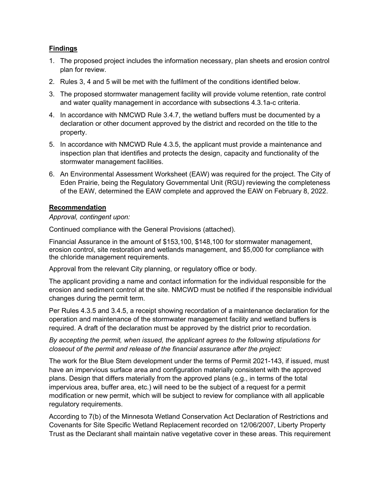## **Findings**

- 1. The proposed project includes the information necessary, plan sheets and erosion control plan for review.
- 2. Rules 3, 4 and 5 will be met with the fulfilment of the conditions identified below.
- 3. The proposed stormwater management facility will provide volume retention, rate control and water quality management in accordance with subsections 4.3.1a-c criteria.
- 4. In accordance with NMCWD Rule 3.4.7, the wetland buffers must be documented by a declaration or other document approved by the district and recorded on the title to the property.
- 5. In accordance with NMCWD Rule 4.3.5, the applicant must provide a maintenance and inspection plan that identifies and protects the design, capacity and functionality of the stormwater management facilities.
- 6. An Environmental Assessment Worksheet (EAW) was required for the project. The City of Eden Prairie, being the Regulatory Governmental Unit (RGU) reviewing the completeness of the EAW, determined the EAW complete and approved the EAW on February 8, 2022.

## **Recommendation**

### *Approval, contingent upon:*

Continued compliance with the General Provisions (attached).

Financial Assurance in the amount of \$153,100, \$148,100 for stormwater management, erosion control, site restoration and wetlands management, and \$5,000 for compliance with the chloride management requirements.

Approval from the relevant City planning, or regulatory office or body.

The applicant providing a name and contact information for the individual responsible for the erosion and sediment control at the site. NMCWD must be notified if the responsible individual changes during the permit term.

Per Rules 4.3.5 and 3.4.5, a receipt showing recordation of a maintenance declaration for the operation and maintenance of the stormwater management facility and wetland buffers is required. A draft of the declaration must be approved by the district prior to recordation.

*By accepting the permit, when issued, the applicant agrees to the following stipulations for closeout of the permit and release of the financial assurance after the project:*

The work for the Blue Stem development under the terms of Permit 2021-143, if issued, must have an impervious surface area and configuration materially consistent with the approved plans. Design that differs materially from the approved plans (e.g., in terms of the total impervious area, buffer area, etc.) will need to be the subject of a request for a permit modification or new permit, which will be subject to review for compliance with all applicable regulatory requirements.

According to 7(b) of the Minnesota Wetland Conservation Act Declaration of Restrictions and Covenants for Site Specific Wetland Replacement recorded on 12/06/2007, Liberty Property Trust as the Declarant shall maintain native vegetative cover in these areas. This requirement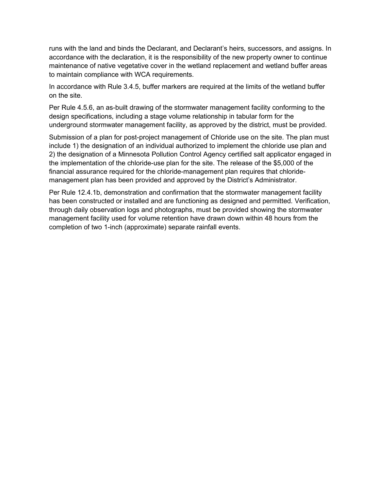runs with the land and binds the Declarant, and Declarant's heirs, successors, and assigns. In accordance with the declaration, it is the responsibility of the new property owner to continue maintenance of native vegetative cover in the wetland replacement and wetland buffer areas to maintain compliance with WCA requirements.

In accordance with Rule 3.4.5, buffer markers are required at the limits of the wetland buffer on the site.

Per Rule 4.5.6, an as-built drawing of the stormwater management facility conforming to the design specifications, including a stage volume relationship in tabular form for the underground stormwater management facility, as approved by the district, must be provided.

Submission of a plan for post-project management of Chloride use on the site. The plan must include 1) the designation of an individual authorized to implement the chloride use plan and 2) the designation of a Minnesota Pollution Control Agency certified salt applicator engaged in the implementation of the chloride-use plan for the site. The release of the \$5,000 of the financial assurance required for the chloride-management plan requires that chloridemanagement plan has been provided and approved by the District's Administrator.

Per Rule 12.4.1b, demonstration and confirmation that the stormwater management facility has been constructed or installed and are functioning as designed and permitted. Verification, through daily observation logs and photographs, must be provided showing the stormwater management facility used for volume retention have drawn down within 48 hours from the completion of two 1-inch (approximate) separate rainfall events.